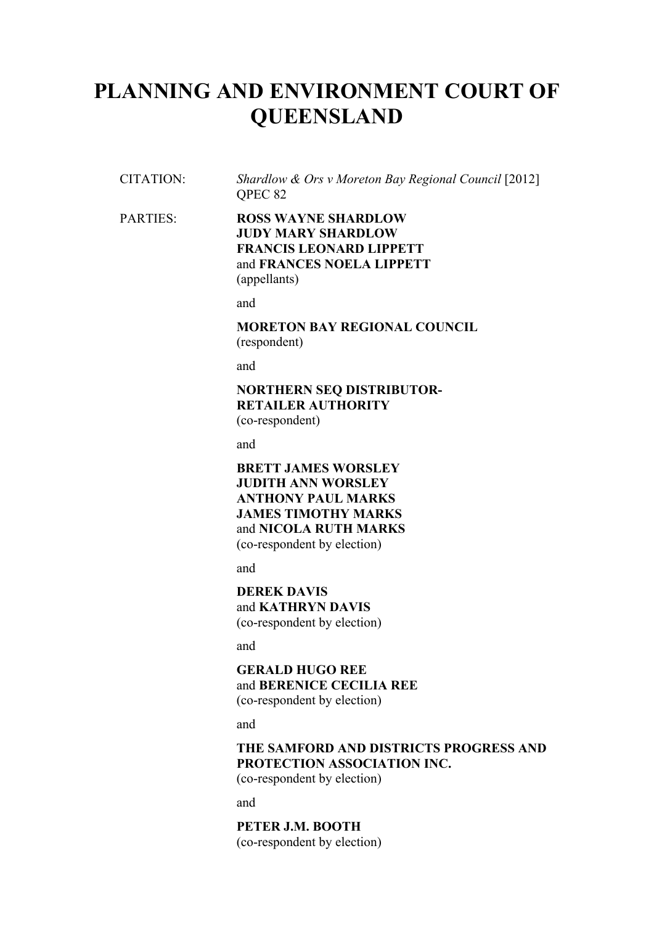# **PLANNING AND ENVIRONMENT COURT OF QUEENSLAND**

CITATION: *Shardlow & Ors v Moreton Bay Regional Council* [2012] QPEC 82

#### PARTIES: **ROSS WAYNE SHARDLOW JUDY MARY SHARDLOW FRANCIS LEONARD LIPPETT** and **FRANCES NOELA LIPPETT** (appellants)

and

**MORETON BAY REGIONAL COUNCIL** (respondent)

and

## **NORTHERN SEQ DISTRIBUTOR-RETAILER AUTHORITY**

(co-respondent)

and

**BRETT JAMES WORSLEY JUDITH ANN WORSLEY ANTHONY PAUL MARKS JAMES TIMOTHY MARKS** and **NICOLA RUTH MARKS** (co-respondent by election)

and

**DEREK DAVIS** and **KATHRYN DAVIS** (co-respondent by election)

and

**GERALD HUGO REE** and **BERENICE CECILIA REE** (co-respondent by election)

and

### **THE SAMFORD AND DISTRICTS PROGRESS AND PROTECTION ASSOCIATION INC.**

(co-respondent by election)

and

**PETER J.M. BOOTH** (co-respondent by election)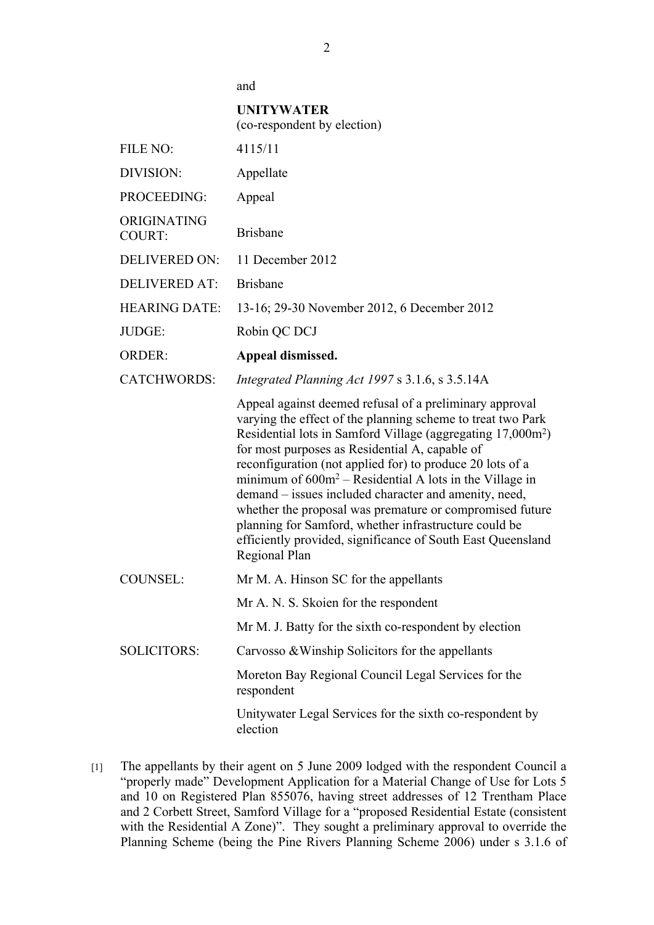and

#### **UNITYWATER**

|                              | (co-respondent by election)                                                                                                                                                                                                                                                                                                                                                                                                                                                                                                                                                                                                                  |  |  |  |
|------------------------------|----------------------------------------------------------------------------------------------------------------------------------------------------------------------------------------------------------------------------------------------------------------------------------------------------------------------------------------------------------------------------------------------------------------------------------------------------------------------------------------------------------------------------------------------------------------------------------------------------------------------------------------------|--|--|--|
| FILE NO:                     | 4115/11                                                                                                                                                                                                                                                                                                                                                                                                                                                                                                                                                                                                                                      |  |  |  |
| DIVISION:                    | Appellate                                                                                                                                                                                                                                                                                                                                                                                                                                                                                                                                                                                                                                    |  |  |  |
| PROCEEDING:                  | Appeal                                                                                                                                                                                                                                                                                                                                                                                                                                                                                                                                                                                                                                       |  |  |  |
| ORIGINATING<br><b>COURT:</b> | <b>Brisbane</b>                                                                                                                                                                                                                                                                                                                                                                                                                                                                                                                                                                                                                              |  |  |  |
| <b>DELIVERED ON:</b>         | 11 December 2012                                                                                                                                                                                                                                                                                                                                                                                                                                                                                                                                                                                                                             |  |  |  |
| <b>DELIVERED AT:</b>         | <b>Brisbane</b>                                                                                                                                                                                                                                                                                                                                                                                                                                                                                                                                                                                                                              |  |  |  |
| <b>HEARING DATE:</b>         | 13-16; 29-30 November 2012, 6 December 2012                                                                                                                                                                                                                                                                                                                                                                                                                                                                                                                                                                                                  |  |  |  |
| JUDGE:                       | Robin QC DCJ                                                                                                                                                                                                                                                                                                                                                                                                                                                                                                                                                                                                                                 |  |  |  |
| <b>ORDER:</b>                | Appeal dismissed.                                                                                                                                                                                                                                                                                                                                                                                                                                                                                                                                                                                                                            |  |  |  |
| <b>CATCHWORDS:</b>           | Integrated Planning Act 1997 s 3.1.6, s 3.5.14A                                                                                                                                                                                                                                                                                                                                                                                                                                                                                                                                                                                              |  |  |  |
|                              | Appeal against deemed refusal of a preliminary approval<br>varying the effect of the planning scheme to treat two Park<br>Residential lots in Samford Village (aggregating 17,000m <sup>2</sup> )<br>for most purposes as Residential A, capable of<br>reconfiguration (not applied for) to produce 20 lots of a<br>minimum of $600m^2$ – Residential A lots in the Village in<br>demand – issues included character and amenity, need,<br>whether the proposal was premature or compromised future<br>planning for Samford, whether infrastructure could be<br>efficiently provided, significance of South East Queensland<br>Regional Plan |  |  |  |
| <b>COUNSEL:</b>              | Mr M. A. Hinson SC for the appellants                                                                                                                                                                                                                                                                                                                                                                                                                                                                                                                                                                                                        |  |  |  |
|                              | Mr A. N. S. Skoien for the respondent                                                                                                                                                                                                                                                                                                                                                                                                                                                                                                                                                                                                        |  |  |  |
|                              | Mr M. J. Batty for the sixth co-respondent by election                                                                                                                                                                                                                                                                                                                                                                                                                                                                                                                                                                                       |  |  |  |
| <b>SOLICITORS:</b>           | Carvosso & Winship Solicitors for the appellants                                                                                                                                                                                                                                                                                                                                                                                                                                                                                                                                                                                             |  |  |  |
|                              | Moreton Bay Regional Council Legal Services for the<br>respondent                                                                                                                                                                                                                                                                                                                                                                                                                                                                                                                                                                            |  |  |  |
|                              | Unitywater Legal Services for the sixth co-respondent by<br>election                                                                                                                                                                                                                                                                                                                                                                                                                                                                                                                                                                         |  |  |  |

[1] The appellants by their agent on 5 June 2009 lodged with the respondent Council a "properly made" Development Application for a Material Change of Use for Lots 5 and 10 on Registered Plan 855076, having street addresses of 12 Trentham Place and 2 Corbett Street, Samford Village for a "proposed Residential Estate (consistent with the Residential A Zone)". They sought a preliminary approval to override the Planning Scheme (being the Pine Rivers Planning Scheme 2006) under s 3.1.6 of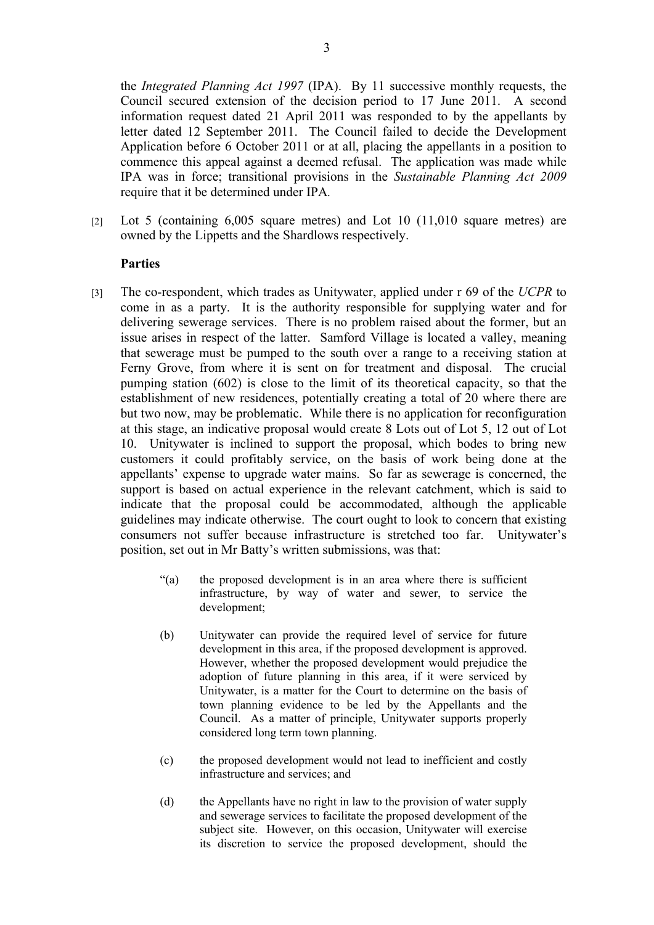the *Integrated Planning Act 1997* (IPA). By 11 successive monthly requests, the Council secured extension of the decision period to 17 June 2011. A second information request dated 21 April 2011 was responded to by the appellants by letter dated 12 September 2011. The Council failed to decide the Development Application before 6 October 2011 or at all, placing the appellants in a position to commence this appeal against a deemed refusal. The application was made while IPA was in force; transitional provisions in the *Sustainable Planning Act 2009* require that it be determined under IPA*.*

[2] Lot 5 (containing 6,005 square metres) and Lot 10 (11,010 square metres) are owned by the Lippetts and the Shardlows respectively.

#### **Parties**

- [3] The co-respondent, which trades as Unitywater, applied under r 69 of the *UCPR* to come in as a party. It is the authority responsible for supplying water and for delivering sewerage services. There is no problem raised about the former, but an issue arises in respect of the latter. Samford Village is located a valley, meaning that sewerage must be pumped to the south over a range to a receiving station at Ferny Grove, from where it is sent on for treatment and disposal. The crucial pumping station (602) is close to the limit of its theoretical capacity, so that the establishment of new residences, potentially creating a total of 20 where there are but two now, may be problematic. While there is no application for reconfiguration at this stage, an indicative proposal would create 8 Lots out of Lot 5, 12 out of Lot 10. Unitywater is inclined to support the proposal, which bodes to bring new customers it could profitably service, on the basis of work being done at the appellants' expense to upgrade water mains. So far as sewerage is concerned, the support is based on actual experience in the relevant catchment, which is said to indicate that the proposal could be accommodated, although the applicable guidelines may indicate otherwise. The court ought to look to concern that existing consumers not suffer because infrastructure is stretched too far. Unitywater's position, set out in Mr Batty's written submissions, was that:
	- "(a) the proposed development is in an area where there is sufficient infrastructure, by way of water and sewer, to service the development;
	- (b) Unitywater can provide the required level of service for future development in this area, if the proposed development is approved. However, whether the proposed development would prejudice the adoption of future planning in this area, if it were serviced by Unitywater, is a matter for the Court to determine on the basis of town planning evidence to be led by the Appellants and the Council. As a matter of principle, Unitywater supports properly considered long term town planning.
	- (c) the proposed development would not lead to inefficient and costly infrastructure and services; and
	- (d) the Appellants have no right in law to the provision of water supply and sewerage services to facilitate the proposed development of the subject site. However, on this occasion, Unitywater will exercise its discretion to service the proposed development, should the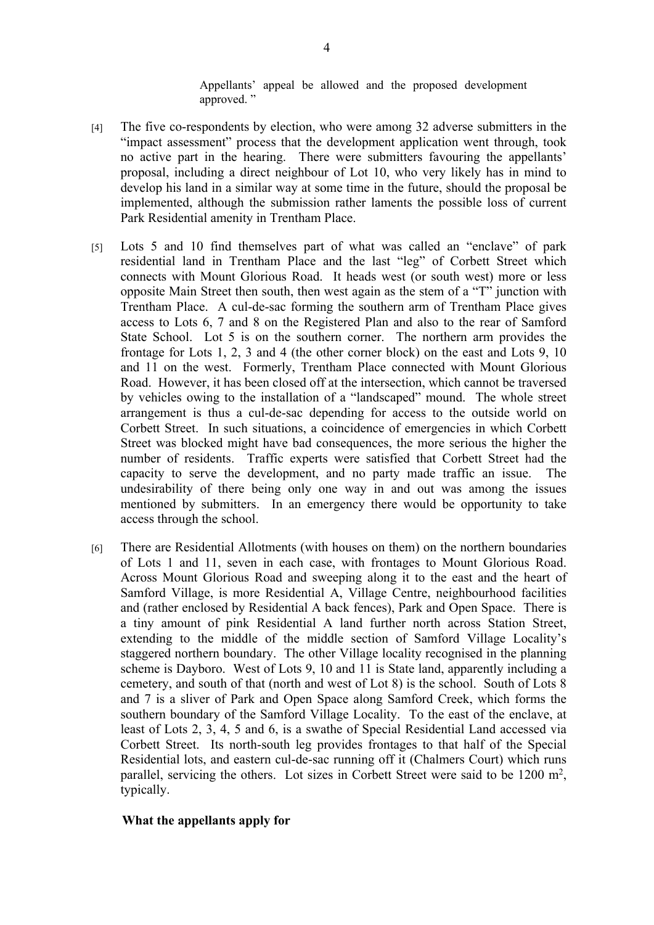Appellants' appeal be allowed and the proposed development approved. "

- [4] The five co-respondents by election, who were among 32 adverse submitters in the "impact assessment" process that the development application went through, took no active part in the hearing. There were submitters favouring the appellants' proposal, including a direct neighbour of Lot 10, who very likely has in mind to develop his land in a similar way at some time in the future, should the proposal be implemented, although the submission rather laments the possible loss of current Park Residential amenity in Trentham Place.
- [5] Lots 5 and 10 find themselves part of what was called an "enclave" of park residential land in Trentham Place and the last "leg" of Corbett Street which connects with Mount Glorious Road. It heads west (or south west) more or less opposite Main Street then south, then west again as the stem of a "T" junction with Trentham Place. A cul-de-sac forming the southern arm of Trentham Place gives access to Lots 6, 7 and 8 on the Registered Plan and also to the rear of Samford State School. Lot 5 is on the southern corner. The northern arm provides the frontage for Lots 1, 2, 3 and 4 (the other corner block) on the east and Lots 9, 10 and 11 on the west. Formerly, Trentham Place connected with Mount Glorious Road. However, it has been closed off at the intersection, which cannot be traversed by vehicles owing to the installation of a "landscaped" mound. The whole street arrangement is thus a cul-de-sac depending for access to the outside world on Corbett Street. In such situations, a coincidence of emergencies in which Corbett Street was blocked might have bad consequences, the more serious the higher the number of residents. Traffic experts were satisfied that Corbett Street had the capacity to serve the development, and no party made traffic an issue. The undesirability of there being only one way in and out was among the issues mentioned by submitters. In an emergency there would be opportunity to take access through the school.
- [6] There are Residential Allotments (with houses on them) on the northern boundaries of Lots 1 and 11, seven in each case, with frontages to Mount Glorious Road. Across Mount Glorious Road and sweeping along it to the east and the heart of Samford Village, is more Residential A, Village Centre, neighbourhood facilities and (rather enclosed by Residential A back fences), Park and Open Space. There is a tiny amount of pink Residential A land further north across Station Street, extending to the middle of the middle section of Samford Village Locality's staggered northern boundary. The other Village locality recognised in the planning scheme is Dayboro. West of Lots 9, 10 and 11 is State land, apparently including a cemetery, and south of that (north and west of Lot 8) is the school. South of Lots 8 and 7 is a sliver of Park and Open Space along Samford Creek, which forms the southern boundary of the Samford Village Locality. To the east of the enclave, at least of Lots 2, 3, 4, 5 and 6, is a swathe of Special Residential Land accessed via Corbett Street. Its north-south leg provides frontages to that half of the Special Residential lots, and eastern cul-de-sac running off it (Chalmers Court) which runs parallel, servicing the others. Lot sizes in Corbett Street were said to be 1200 m<sup>2</sup>, typically.

#### **What the appellants apply for**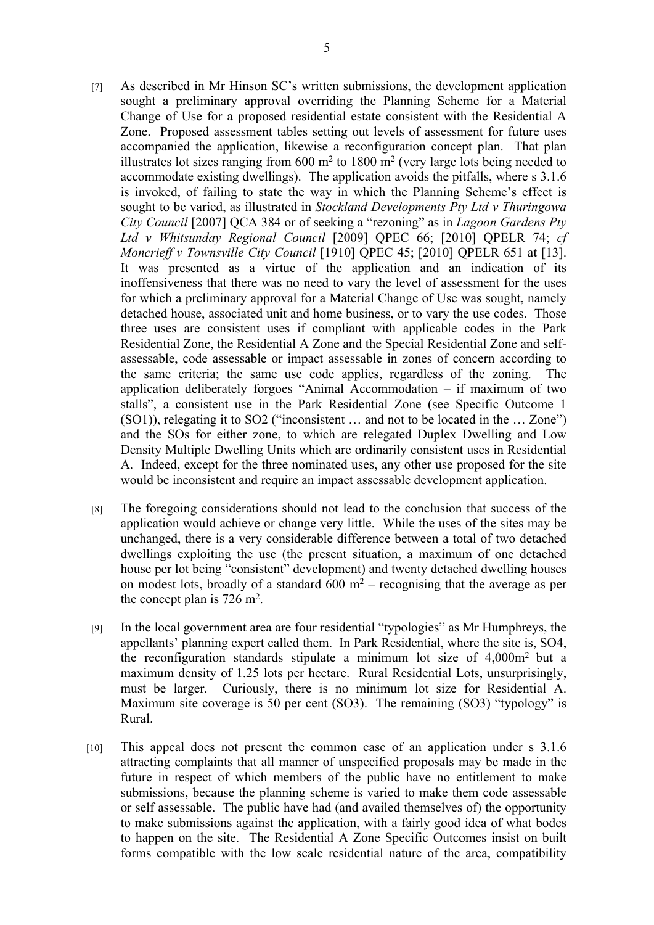- [7] As described in Mr Hinson SC's written submissions, the development application sought a preliminary approval overriding the Planning Scheme for a Material Change of Use for a proposed residential estate consistent with the Residential A Zone. Proposed assessment tables setting out levels of assessment for future uses accompanied the application, likewise a reconfiguration concept plan. That plan illustrates lot sizes ranging from  $600 \text{ m}^2$  to  $1800 \text{ m}^2$  (very large lots being needed to accommodate existing dwellings). The application avoids the pitfalls, where s 3.1.6 is invoked, of failing to state the way in which the Planning Scheme's effect is sought to be varied, as illustrated in *Stockland Developments Pty Ltd v Thuringowa City Council* [2007] QCA 384 or of seeking a "rezoning" as in *Lagoon Gardens Pty Ltd v Whitsunday Regional Council* [2009] QPEC 66; [2010] QPELR 74; *cf Moncrieff v Townsville City Council* [1910] QPEC 45; [2010] QPELR 651 at [13]. It was presented as a virtue of the application and an indication of its inoffensiveness that there was no need to vary the level of assessment for the uses for which a preliminary approval for a Material Change of Use was sought, namely detached house, associated unit and home business, or to vary the use codes. Those three uses are consistent uses if compliant with applicable codes in the Park Residential Zone, the Residential A Zone and the Special Residential Zone and selfassessable, code assessable or impact assessable in zones of concern according to the same criteria; the same use code applies, regardless of the zoning. The application deliberately forgoes "Animal Accommodation – if maximum of two stalls", a consistent use in the Park Residential Zone (see Specific Outcome 1 (SO1)), relegating it to SO2 ("inconsistent … and not to be located in the … Zone") and the SOs for either zone, to which are relegated Duplex Dwelling and Low Density Multiple Dwelling Units which are ordinarily consistent uses in Residential A. Indeed, except for the three nominated uses, any other use proposed for the site would be inconsistent and require an impact assessable development application.
- [8] The foregoing considerations should not lead to the conclusion that success of the application would achieve or change very little. While the uses of the sites may be unchanged, there is a very considerable difference between a total of two detached dwellings exploiting the use (the present situation, a maximum of one detached house per lot being "consistent" development) and twenty detached dwelling houses on modest lots, broadly of a standard  $600 \text{ m}^2$  – recognising that the average as per the concept plan is  $726 \text{ m}^2$ .
- [9] In the local government area are four residential "typologies" as Mr Humphreys, the appellants' planning expert called them. In Park Residential, where the site is, SO4, the reconfiguration standards stipulate a minimum lot size of  $4,000m<sup>2</sup>$  but a maximum density of 1.25 lots per hectare. Rural Residential Lots, unsurprisingly, must be larger. Curiously, there is no minimum lot size for Residential A. Maximum site coverage is 50 per cent (SO3). The remaining (SO3) "typology" is Rural.
- [10] This appeal does not present the common case of an application under s 3.1.6 attracting complaints that all manner of unspecified proposals may be made in the future in respect of which members of the public have no entitlement to make submissions, because the planning scheme is varied to make them code assessable or self assessable. The public have had (and availed themselves of) the opportunity to make submissions against the application, with a fairly good idea of what bodes to happen on the site. The Residential A Zone Specific Outcomes insist on built forms compatible with the low scale residential nature of the area, compatibility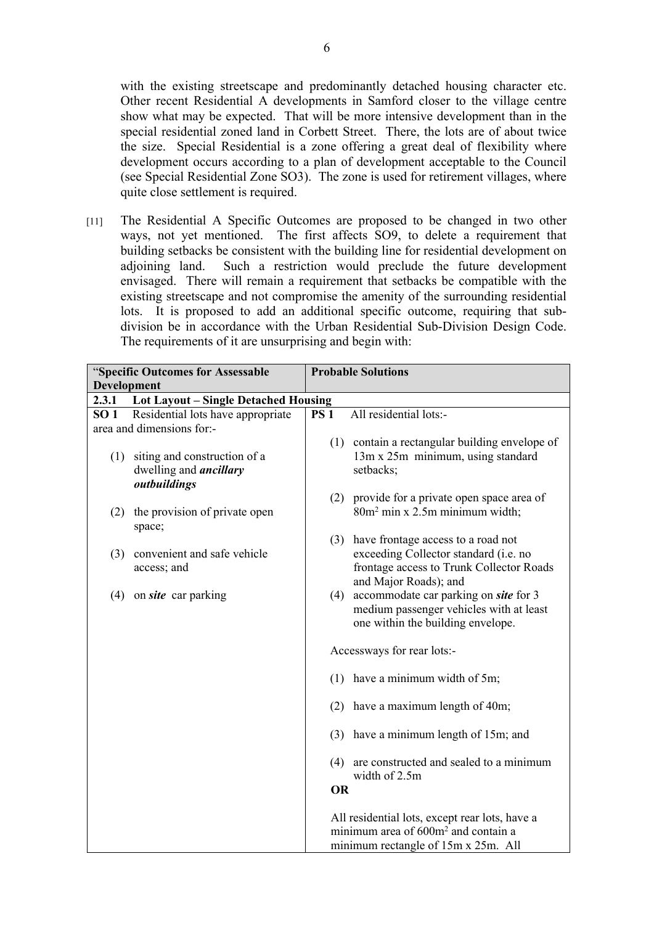with the existing streetscape and predominantly detached housing character etc. Other recent Residential A developments in Samford closer to the village centre show what may be expected. That will be more intensive development than in the special residential zoned land in Corbett Street. There, the lots are of about twice the size. Special Residential is a zone offering a great deal of flexibility where development occurs according to a plan of development acceptable to the Council (see Special Residential Zone SO3). The zone is used for retirement villages, where quite close settlement is required.

[11] The Residential A Specific Outcomes are proposed to be changed in two other ways, not yet mentioned. The first affects SO9, to delete a requirement that building setbacks be consistent with the building line for residential development on adjoining land. Such a restriction would preclude the future development envisaged. There will remain a requirement that setbacks be compatible with the existing streetscape and not compromise the amenity of the surrounding residential lots. It is proposed to add an additional specific outcome, requiring that subdivision be in accordance with the Urban Residential Sub-Division Design Code. The requirements of it are unsurprising and begin with:

| "Specific Outcomes for Assessable             |                                                                               | <b>Probable Solutions</b> |                                                                                                                                          |  |
|-----------------------------------------------|-------------------------------------------------------------------------------|---------------------------|------------------------------------------------------------------------------------------------------------------------------------------|--|
| <b>Development</b>                            |                                                                               |                           |                                                                                                                                          |  |
| 2.3.1<br>Lot Layout - Single Detached Housing |                                                                               |                           |                                                                                                                                          |  |
| SO <sub>1</sub>                               | Residential lots have appropriate                                             | <b>PS 1</b>               | All residential lots:-                                                                                                                   |  |
|                                               | area and dimensions for:-                                                     |                           |                                                                                                                                          |  |
| (1)                                           | siting and construction of a<br>dwelling and <i>ancillary</i><br>outbuildings |                           | (1) contain a rectangular building envelope of<br>13m x 25m minimum, using standard<br>setbacks:                                         |  |
|                                               |                                                                               |                           | (2) provide for a private open space area of                                                                                             |  |
| (2)                                           | the provision of private open<br>space;                                       |                           | 80m <sup>2</sup> min x 2.5m minimum width;                                                                                               |  |
|                                               |                                                                               | (3)                       | have frontage access to a road not                                                                                                       |  |
| (3)                                           | convenient and safe vehicle<br>access; and                                    |                           | exceeding Collector standard (i.e. no<br>frontage access to Trunk Collector Roads<br>and Major Roads); and                               |  |
| (4)                                           | on site car parking                                                           | (4)                       | accommodate car parking on <i>site</i> for 3<br>medium passenger vehicles with at least<br>one within the building envelope.             |  |
|                                               |                                                                               |                           | Accessways for rear lots:-                                                                                                               |  |
|                                               |                                                                               |                           | $(1)$ have a minimum width of 5m;                                                                                                        |  |
|                                               |                                                                               | (2)                       | have a maximum length of 40m;                                                                                                            |  |
|                                               |                                                                               |                           | (3) have a minimum length of 15m; and                                                                                                    |  |
|                                               |                                                                               | (4)                       | are constructed and sealed to a minimum<br>width of 2.5m                                                                                 |  |
|                                               |                                                                               | <b>OR</b>                 |                                                                                                                                          |  |
|                                               |                                                                               |                           | All residential lots, except rear lots, have a<br>minimum area of 600m <sup>2</sup> and contain a<br>minimum rectangle of 15m x 25m. All |  |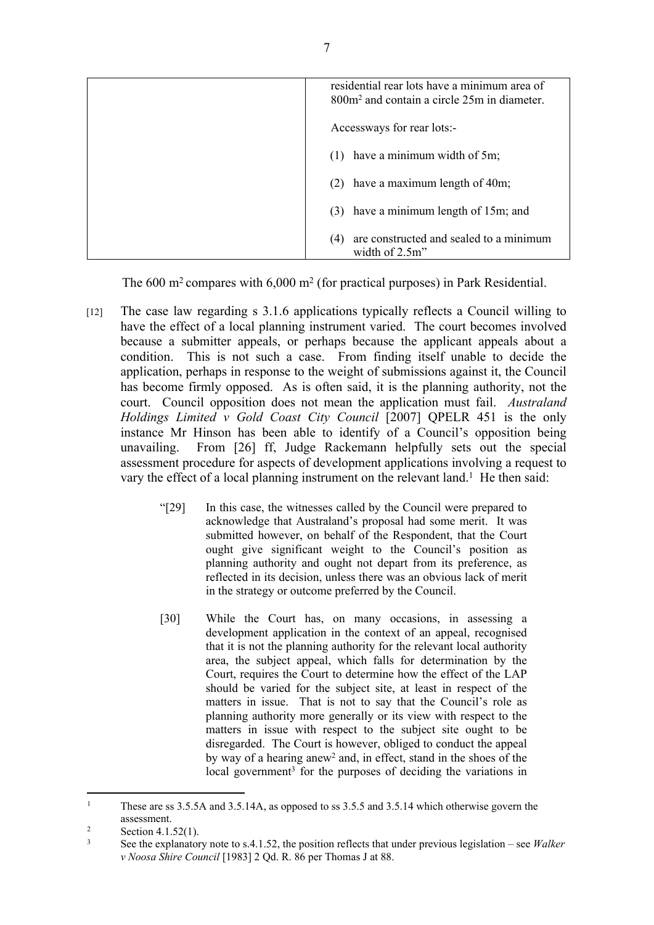| residential rear lots have a minimum area of<br>$800m2$ and contain a circle $25m$ in diameter |
|------------------------------------------------------------------------------------------------|
| Accessways for rear lots:-                                                                     |
| have a minimum width of 5m;<br>(1)                                                             |
| (2) have a maximum length of $40m$ ;                                                           |
| (3) have a minimum length of 15m; and                                                          |
| are constructed and sealed to a minimum<br>(4)<br>width of $2.5m$ "                            |

The 600 m<sup>2</sup> compares with 6,000 m<sup>2</sup> (for practical purposes) in Park Residential.

- [12] The case law regarding s 3.1.6 applications typically reflects a Council willing to have the effect of a local planning instrument varied. The court becomes involved because a submitter appeals, or perhaps because the applicant appeals about a condition. This is not such a case. From finding itself unable to decide the application, perhaps in response to the weight of submissions against it, the Council has become firmly opposed. As is often said, it is the planning authority, not the court. Council opposition does not mean the application must fail. *Australand Holdings Limited v Gold Coast City Council* [2007] QPELR 451 is the only instance Mr Hinson has been able to identify of a Council's opposition being unavailing. From [26] ff, Judge Rackemann helpfully sets out the special assessment procedure for aspects of development applications involving a request to vary the effect of a local planning instrument on the relevant land.<sup>1</sup> He then said:
	- "[29] In this case, the witnesses called by the Council were prepared to acknowledge that Australand's proposal had some merit. It was submitted however, on behalf of the Respondent, that the Court ought give significant weight to the Council's position as planning authority and ought not depart from its preference, as reflected in its decision, unless there was an obvious lack of merit in the strategy or outcome preferred by the Council.
	- [30] While the Court has, on many occasions, in assessing a development application in the context of an appeal, recognised that it is not the planning authority for the relevant local authority area, the subject appeal, which falls for determination by the Court, requires the Court to determine how the effect of the LAP should be varied for the subject site, at least in respect of the matters in issue. That is not to say that the Council's role as planning authority more generally or its view with respect to the matters in issue with respect to the subject site ought to be disregarded. The Court is however, obliged to conduct the appeal by way of a hearing anew<sup>2</sup> and, in effect, stand in the shoes of the local government<sup>3</sup> for the purposes of deciding the variations in

<sup>1</sup> These are ss 3.5.5A and 3.5.14A, as opposed to ss 3.5.5 and 3.5.14 which otherwise govern the assessment.

<sup>2</sup> Section 4.1.52(1).

<sup>3</sup> See the explanatory note to s.4.1.52, the position reflects that under previous legislation – see *Walker v Noosa Shire Council* [1983] 2 Qd. R. 86 per Thomas J at 88.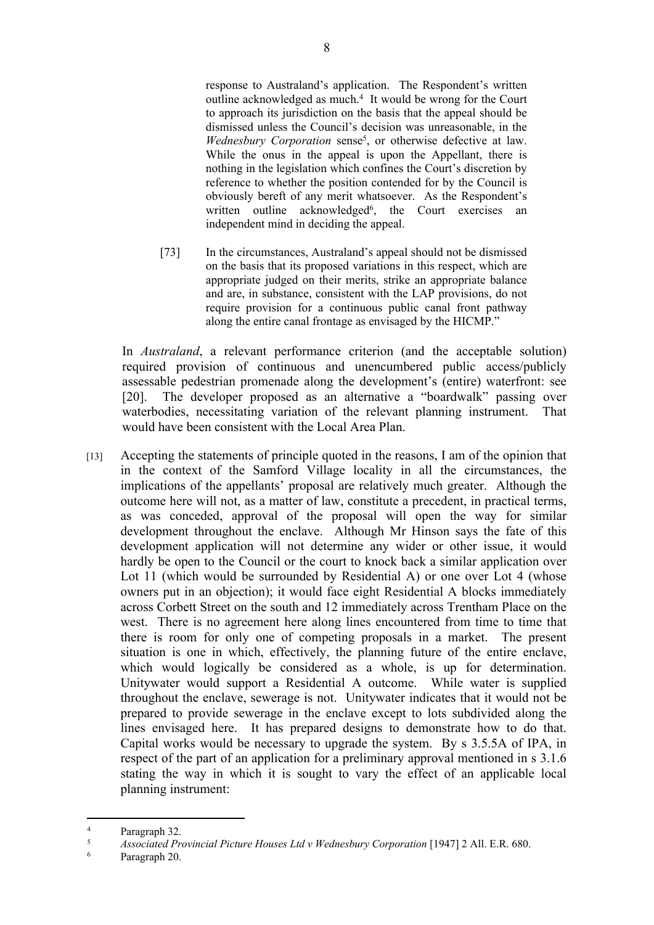response to Australand's application. The Respondent's written outline acknowledged as much.<sup>4</sup> It would be wrong for the Court to approach its jurisdiction on the basis that the appeal should be dismissed unless the Council's decision was unreasonable, in the Wednesbury Corporation sense<sup>5</sup>, or otherwise defective at law. While the onus in the appeal is upon the Appellant, there is nothing in the legislation which confines the Court's discretion by reference to whether the position contended for by the Council is obviously bereft of any merit whatsoever. As the Respondent's written outline acknowledged<sup>6</sup>, the Court exercises an independent mind in deciding the appeal.

[73] In the circumstances, Australand's appeal should not be dismissed on the basis that its proposed variations in this respect, which are appropriate judged on their merits, strike an appropriate balance and are, in substance, consistent with the LAP provisions, do not require provision for a continuous public canal front pathway along the entire canal frontage as envisaged by the HICMP."

In *Australand*, a relevant performance criterion (and the acceptable solution) required provision of continuous and unencumbered public access/publicly assessable pedestrian promenade along the development's (entire) waterfront: see [20]. The developer proposed as an alternative a "boardwalk" passing over waterbodies, necessitating variation of the relevant planning instrument. That would have been consistent with the Local Area Plan.

[13] Accepting the statements of principle quoted in the reasons, I am of the opinion that in the context of the Samford Village locality in all the circumstances, the implications of the appellants' proposal are relatively much greater. Although the outcome here will not, as a matter of law, constitute a precedent, in practical terms, as was conceded, approval of the proposal will open the way for similar development throughout the enclave. Although Mr Hinson says the fate of this development application will not determine any wider or other issue, it would hardly be open to the Council or the court to knock back a similar application over Lot 11 (which would be surrounded by Residential A) or one over Lot 4 (whose owners put in an objection); it would face eight Residential A blocks immediately across Corbett Street on the south and 12 immediately across Trentham Place on the west. There is no agreement here along lines encountered from time to time that there is room for only one of competing proposals in a market. The present situation is one in which, effectively, the planning future of the entire enclave, which would logically be considered as a whole, is up for determination. Unitywater would support a Residential A outcome. While water is supplied throughout the enclave, sewerage is not. Unitywater indicates that it would not be prepared to provide sewerage in the enclave except to lots subdivided along the lines envisaged here. It has prepared designs to demonstrate how to do that. Capital works would be necessary to upgrade the system. By s 3.5.5A of IPA, in respect of the part of an application for a preliminary approval mentioned in s 3.1.6 stating the way in which it is sought to vary the effect of an applicable local planning instrument:

6 Paragraph 20.

<sup>4</sup>  $\frac{4}{5}$  Paragraph 32.

<sup>5</sup> *Associated Provincial Picture Houses Ltd v Wednesbury Corporation* [1947] 2 All. E.R. 680.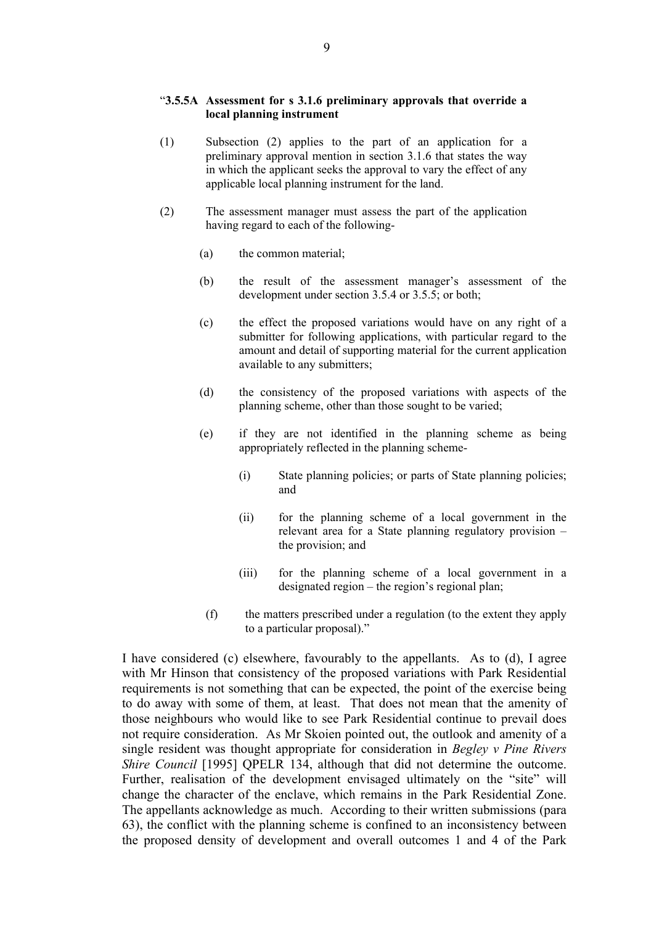#### "**3.5.5A Assessment for s 3.1.6 preliminary approvals that override a local planning instrument**

- (1) Subsection (2) applies to the part of an application for a preliminary approval mention in section 3.1.6 that states the way in which the applicant seeks the approval to vary the effect of any applicable local planning instrument for the land.
- (2) The assessment manager must assess the part of the application having regard to each of the following-
	- (a) the common material;
	- (b) the result of the assessment manager's assessment of the development under section 3.5.4 or 3.5.5; or both;
	- (c) the effect the proposed variations would have on any right of a submitter for following applications, with particular regard to the amount and detail of supporting material for the current application available to any submitters;
	- (d) the consistency of the proposed variations with aspects of the planning scheme, other than those sought to be varied;
	- (e) if they are not identified in the planning scheme as being appropriately reflected in the planning scheme-
		- (i) State planning policies; or parts of State planning policies; and
		- (ii) for the planning scheme of a local government in the relevant area for a State planning regulatory provision – the provision; and
		- (iii) for the planning scheme of a local government in a designated region – the region's regional plan;
	- (f) the matters prescribed under a regulation (to the extent they apply to a particular proposal)."

I have considered (c) elsewhere, favourably to the appellants. As to (d), I agree with Mr Hinson that consistency of the proposed variations with Park Residential requirements is not something that can be expected, the point of the exercise being to do away with some of them, at least. That does not mean that the amenity of those neighbours who would like to see Park Residential continue to prevail does not require consideration. As Mr Skoien pointed out, the outlook and amenity of a single resident was thought appropriate for consideration in *Begley v Pine Rivers Shire Council* [1995] OPELR 134, although that did not determine the outcome. Further, realisation of the development envisaged ultimately on the "site" will change the character of the enclave, which remains in the Park Residential Zone. The appellants acknowledge as much. According to their written submissions (para 63), the conflict with the planning scheme is confined to an inconsistency between the proposed density of development and overall outcomes 1 and 4 of the Park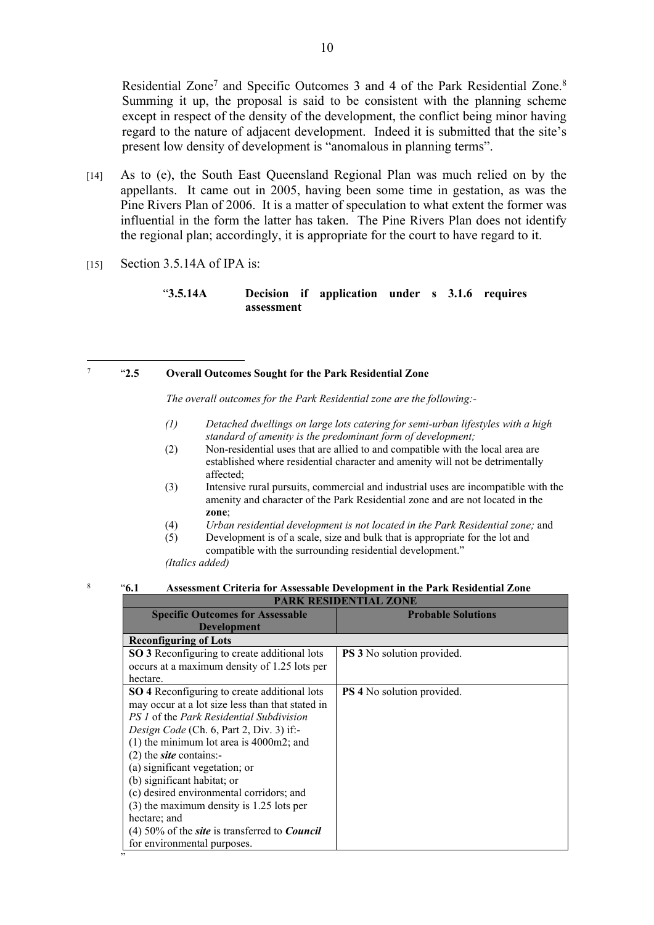Residential Zone<sup>7</sup> and Specific Outcomes 3 and 4 of the Park Residential Zone.<sup>8</sup> Summing it up, the proposal is said to be consistent with the planning scheme except in respect of the density of the development, the conflict being minor having regard to the nature of adjacent development. Indeed it is submitted that the site's present low density of development is "anomalous in planning terms".

- [14] As to (e), the South East Queensland Regional Plan was much relied on by the appellants. It came out in 2005, having been some time in gestation, as was the Pine Rivers Plan of 2006. It is a matter of speculation to what extent the former was influential in the form the latter has taken. The Pine Rivers Plan does not identify the regional plan; accordingly, it is appropriate for the court to have regard to it.
- $[15]$  Section 3.5.14A of IPA is:

#### "**3.5.14A Decision if application under s 3.1.6 requires assessment**

#### 7 "**2.5 Overall Outcomes Sought for the Park Residential Zone**

*The overall outcomes for the Park Residential zone are the following:-*

- *(1) Detached dwellings on large lots catering for semi-urban lifestyles with a high standard of amenity is the predominant form of development;*
- (2) Non-residential uses that are allied to and compatible with the local area are established where residential character and amenity will not be detrimentally affected;
- (3) Intensive rural pursuits, commercial and industrial uses are incompatible with the amenity and character of the Park Residential zone and are not located in the **zone**;
- (4) *Urban residential development is not located in the Park Residential zone;* and
- (5) Development is of a scale, size and bulk that is appropriate for the lot and compatible with the surrounding residential development."

*(Italics added)*

"

#### 8 "**6.1 Assessment Criteria for Assessable Development in the Park Residential Zone**

| PARK RESIDENTIAL ZONE                                              |                                   |  |  |  |
|--------------------------------------------------------------------|-----------------------------------|--|--|--|
| <b>Specific Outcomes for Assessable</b>                            | <b>Probable Solutions</b>         |  |  |  |
| <b>Development</b>                                                 |                                   |  |  |  |
| <b>Reconfiguring of Lots</b>                                       |                                   |  |  |  |
| <b>SO 3</b> Reconfiguring to create additional lots                | <b>PS 3</b> No solution provided. |  |  |  |
| occurs at a maximum density of 1.25 lots per                       |                                   |  |  |  |
| hectare.                                                           |                                   |  |  |  |
| <b>SO 4</b> Reconfiguring to create additional lots                | <b>PS 4</b> No solution provided. |  |  |  |
| may occur at a lot size less than that stated in                   |                                   |  |  |  |
| PS 1 of the Park Residential Subdivision                           |                                   |  |  |  |
| Design Code (Ch. 6, Part 2, Div. 3) if:-                           |                                   |  |  |  |
| $(1)$ the minimum lot area is 4000m2; and                          |                                   |  |  |  |
| $(2)$ the <i>site</i> contains:-                                   |                                   |  |  |  |
| (a) significant vegetation; or                                     |                                   |  |  |  |
| (b) significant habitat; or                                        |                                   |  |  |  |
| (c) desired environmental corridors; and                           |                                   |  |  |  |
| (3) the maximum density is 1.25 lots per                           |                                   |  |  |  |
| hectare; and                                                       |                                   |  |  |  |
| (4) 50% of the <i>site</i> is transferred to <b><i>Council</i></b> |                                   |  |  |  |
| for environmental purposes.                                        |                                   |  |  |  |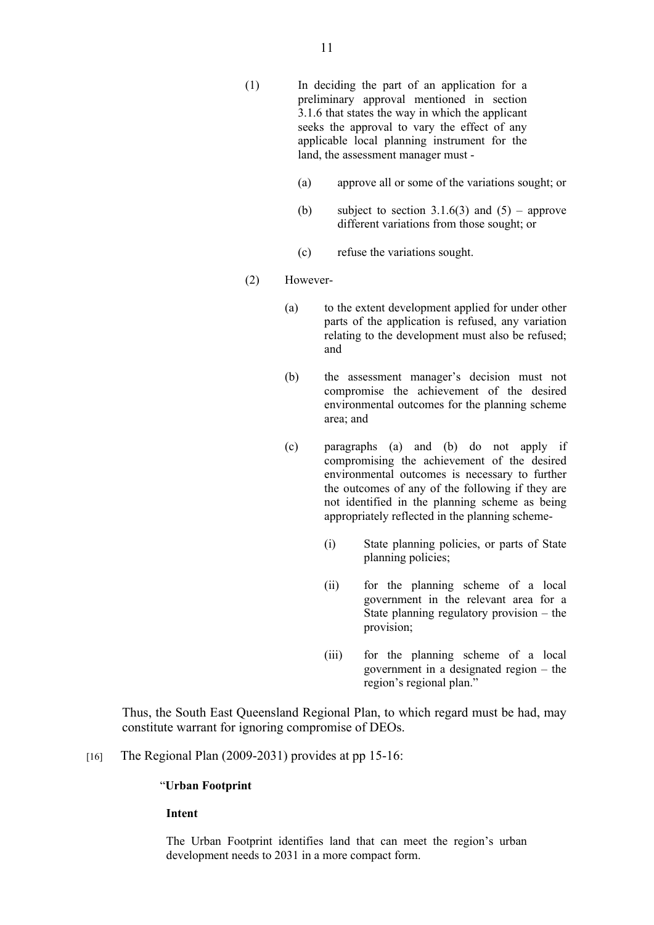- (1) In deciding the part of an application for a preliminary approval mentioned in section 3.1.6 that states the way in which the applicant seeks the approval to vary the effect of any applicable local planning instrument for the land, the assessment manager must -
	- (a) approve all or some of the variations sought; or
	- (b) subject to section 3.1.6(3) and  $(5)$  approve different variations from those sought; or
	- (c) refuse the variations sought.
- (2) However-
	- (a) to the extent development applied for under other parts of the application is refused, any variation relating to the development must also be refused; and
	- (b) the assessment manager's decision must not compromise the achievement of the desired environmental outcomes for the planning scheme area; and
	- (c) paragraphs (a) and (b) do not apply if compromising the achievement of the desired environmental outcomes is necessary to further the outcomes of any of the following if they are not identified in the planning scheme as being appropriately reflected in the planning scheme-
		- (i) State planning policies, or parts of State planning policies;
		- (ii) for the planning scheme of a local government in the relevant area for a State planning regulatory provision – the provision;
		- (iii) for the planning scheme of a local government in a designated region – the region's regional plan."

Thus, the South East Queensland Regional Plan, to which regard must be had, may constitute warrant for ignoring compromise of DEOs.

[16] The Regional Plan  $(2009-2031)$  provides at pp 15-16:

#### "**Urban Footprint**

**Intent**

The Urban Footprint identifies land that can meet the region's urban development needs to 2031 in a more compact form.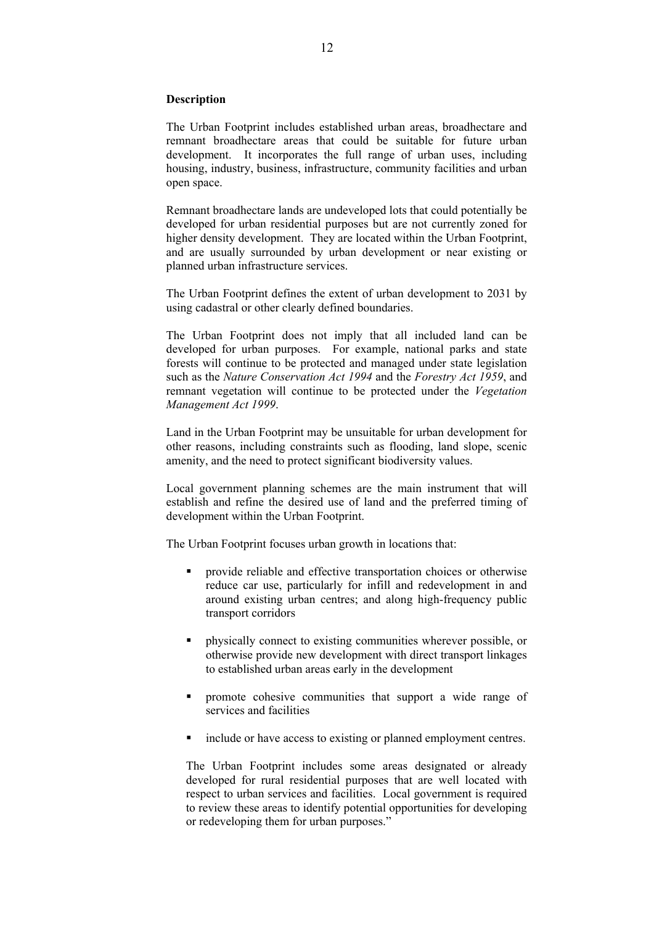#### **Description**

The Urban Footprint includes established urban areas, broadhectare and remnant broadhectare areas that could be suitable for future urban development. It incorporates the full range of urban uses, including housing, industry, business, infrastructure, community facilities and urban open space.

Remnant broadhectare lands are undeveloped lots that could potentially be developed for urban residential purposes but are not currently zoned for higher density development. They are located within the Urban Footprint, and are usually surrounded by urban development or near existing or planned urban infrastructure services.

The Urban Footprint defines the extent of urban development to 2031 by using cadastral or other clearly defined boundaries.

The Urban Footprint does not imply that all included land can be developed for urban purposes. For example, national parks and state forests will continue to be protected and managed under state legislation such as the *Nature Conservation Act 1994* and the *Forestry Act 1959*, and remnant vegetation will continue to be protected under the *Vegetation Management Act 1999*.

Land in the Urban Footprint may be unsuitable for urban development for other reasons, including constraints such as flooding, land slope, scenic amenity, and the need to protect significant biodiversity values.

Local government planning schemes are the main instrument that will establish and refine the desired use of land and the preferred timing of development within the Urban Footprint.

The Urban Footprint focuses urban growth in locations that:

- provide reliable and effective transportation choices or otherwise reduce car use, particularly for infill and redevelopment in and around existing urban centres; and along high-frequency public transport corridors
- physically connect to existing communities wherever possible, or otherwise provide new development with direct transport linkages to established urban areas early in the development
- **•** promote cohesive communities that support a wide range of services and facilities
- include or have access to existing or planned employment centres.

The Urban Footprint includes some areas designated or already developed for rural residential purposes that are well located with respect to urban services and facilities. Local government is required to review these areas to identify potential opportunities for developing or redeveloping them for urban purposes."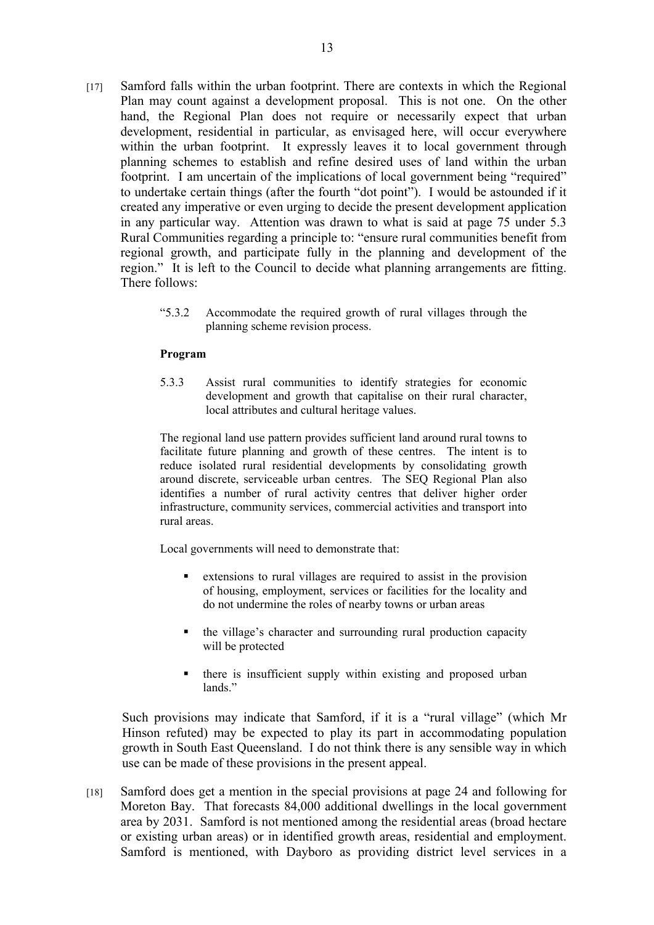- [17] Samford falls within the urban footprint. There are contexts in which the Regional Plan may count against a development proposal. This is not one. On the other hand, the Regional Plan does not require or necessarily expect that urban development, residential in particular, as envisaged here, will occur everywhere within the urban footprint. It expressly leaves it to local government through planning schemes to establish and refine desired uses of land within the urban footprint. I am uncertain of the implications of local government being "required" to undertake certain things (after the fourth "dot point"). I would be astounded if it created any imperative or even urging to decide the present development application in any particular way. Attention was drawn to what is said at page 75 under 5.3 Rural Communities regarding a principle to: "ensure rural communities benefit from regional growth, and participate fully in the planning and development of the region." It is left to the Council to decide what planning arrangements are fitting. There follows:
	- "5.3.2 Accommodate the required growth of rural villages through the planning scheme revision process.

#### **Program**

5.3.3 Assist rural communities to identify strategies for economic development and growth that capitalise on their rural character, local attributes and cultural heritage values.

The regional land use pattern provides sufficient land around rural towns to facilitate future planning and growth of these centres. The intent is to reduce isolated rural residential developments by consolidating growth around discrete, serviceable urban centres. The SEQ Regional Plan also identifies a number of rural activity centres that deliver higher order infrastructure, community services, commercial activities and transport into rural areas.

Local governments will need to demonstrate that:

- extensions to rural villages are required to assist in the provision of housing, employment, services or facilities for the locality and do not undermine the roles of nearby towns or urban areas
- the village's character and surrounding rural production capacity will be protected
- there is insufficient supply within existing and proposed urban lands."

Such provisions may indicate that Samford, if it is a "rural village" (which Mr Hinson refuted) may be expected to play its part in accommodating population growth in South East Queensland. I do not think there is any sensible way in which use can be made of these provisions in the present appeal.

[18] Samford does get a mention in the special provisions at page 24 and following for Moreton Bay. That forecasts 84,000 additional dwellings in the local government area by 2031. Samford is not mentioned among the residential areas (broad hectare or existing urban areas) or in identified growth areas, residential and employment. Samford is mentioned, with Dayboro as providing district level services in a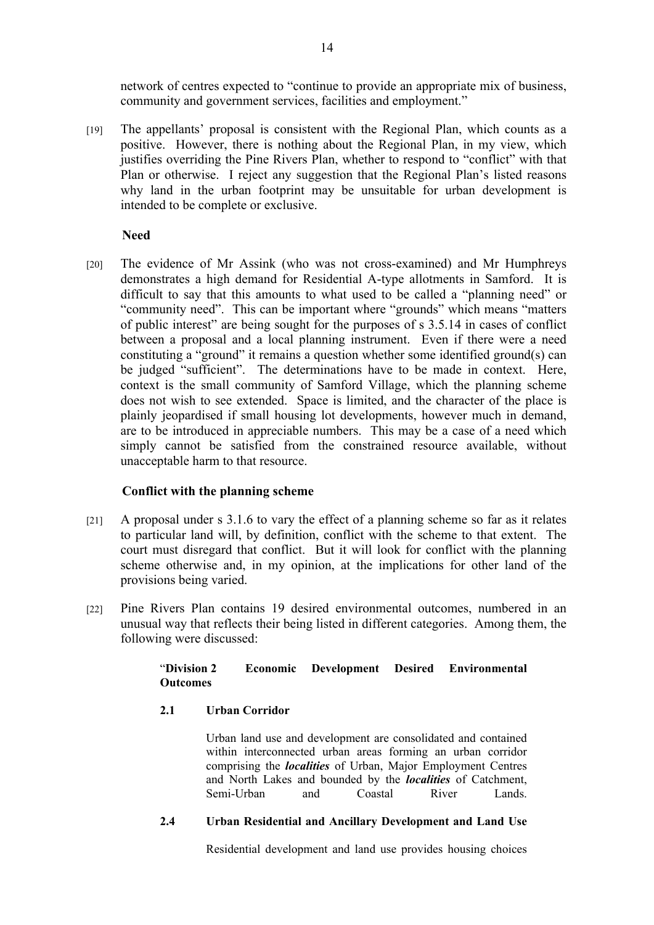network of centres expected to "continue to provide an appropriate mix of business, community and government services, facilities and employment."

[19] The appellants' proposal is consistent with the Regional Plan, which counts as a positive. However, there is nothing about the Regional Plan, in my view, which justifies overriding the Pine Rivers Plan, whether to respond to "conflict" with that Plan or otherwise. I reject any suggestion that the Regional Plan's listed reasons why land in the urban footprint may be unsuitable for urban development is intended to be complete or exclusive.

#### **Need**

[20] The evidence of Mr Assink (who was not cross-examined) and Mr Humphreys demonstrates a high demand for Residential A-type allotments in Samford. It is difficult to say that this amounts to what used to be called a "planning need" or "community need". This can be important where "grounds" which means "matters of public interest" are being sought for the purposes of s 3.5.14 in cases of conflict between a proposal and a local planning instrument. Even if there were a need constituting a "ground" it remains a question whether some identified ground(s) can be judged "sufficient". The determinations have to be made in context. Here, context is the small community of Samford Village, which the planning scheme does not wish to see extended. Space is limited, and the character of the place is plainly jeopardised if small housing lot developments, however much in demand, are to be introduced in appreciable numbers. This may be a case of a need which simply cannot be satisfied from the constrained resource available, without unacceptable harm to that resource.

### **Conflict with the planning scheme**

- [21] A proposal under s 3.1.6 to vary the effect of a planning scheme so far as it relates to particular land will, by definition, conflict with the scheme to that extent. The court must disregard that conflict. But it will look for conflict with the planning scheme otherwise and, in my opinion, at the implications for other land of the provisions being varied.
- [22] Pine Rivers Plan contains 19 desired environmental outcomes, numbered in an unusual way that reflects their being listed in different categories. Among them, the following were discussed:

#### "**Division 2 Economic Development Desired Environmental Outcomes**

#### **2.1 Urban Corridor**

Urban land use and development are consolidated and contained within interconnected urban areas forming an urban corridor comprising the *localities* of Urban, Major Employment Centres and North Lakes and bounded by the *localities* of Catchment, Semi-Urban and Coastal River Lands.

#### **2.4 Urban Residential and Ancillary Development and Land Use**

Residential development and land use provides housing choices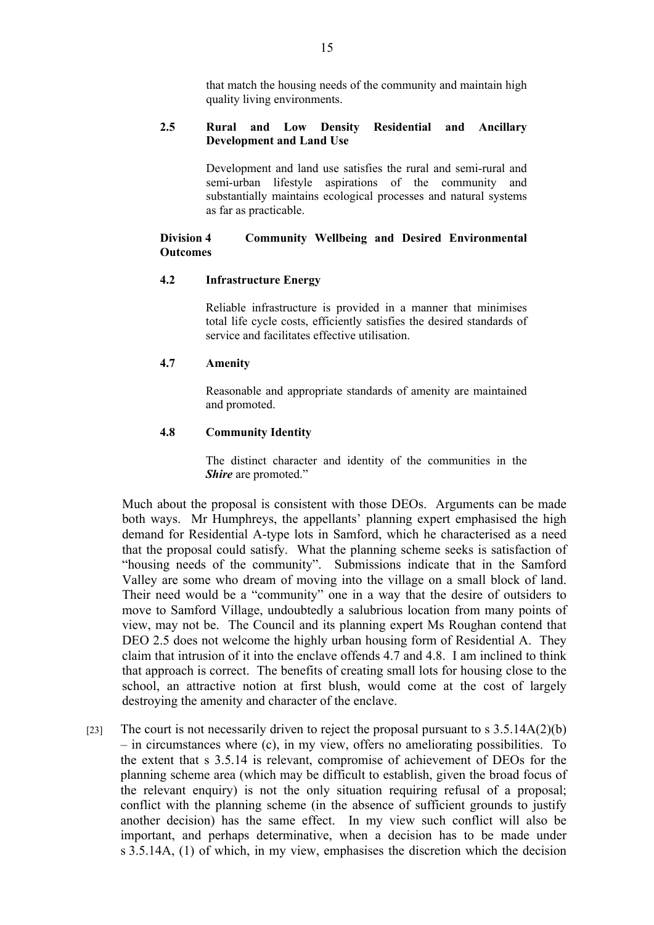that match the housing needs of the community and maintain high quality living environments.

#### **2.5 Rural and Low Density Residential and Ancillary Development and Land Use**

Development and land use satisfies the rural and semi-rural and semi-urban lifestyle aspirations of the community and substantially maintains ecological processes and natural systems as far as practicable.

#### **Division 4 Community Wellbeing and Desired Environmental Outcomes**

#### **4.2 Infrastructure Energy**

Reliable infrastructure is provided in a manner that minimises total life cycle costs, efficiently satisfies the desired standards of service and facilitates effective utilisation.

#### **4.7 Amenity**

Reasonable and appropriate standards of amenity are maintained and promoted.

#### **4.8 Community Identity**

The distinct character and identity of the communities in the *Shire* are promoted."

Much about the proposal is consistent with those DEOs. Arguments can be made both ways. Mr Humphreys, the appellants' planning expert emphasised the high demand for Residential A-type lots in Samford, which he characterised as a need that the proposal could satisfy. What the planning scheme seeks is satisfaction of "housing needs of the community". Submissions indicate that in the Samford Valley are some who dream of moving into the village on a small block of land. Their need would be a "community" one in a way that the desire of outsiders to move to Samford Village, undoubtedly a salubrious location from many points of view, may not be. The Council and its planning expert Ms Roughan contend that DEO 2.5 does not welcome the highly urban housing form of Residential A. They claim that intrusion of it into the enclave offends 4.7 and 4.8. I am inclined to think that approach is correct. The benefits of creating small lots for housing close to the school, an attractive notion at first blush, would come at the cost of largely destroying the amenity and character of the enclave.

[23] The court is not necessarily driven to reject the proposal pursuant to s  $3.5.14A(2)(b)$ – in circumstances where (c), in my view, offers no ameliorating possibilities. To the extent that s 3.5.14 is relevant, compromise of achievement of DEOs for the planning scheme area (which may be difficult to establish, given the broad focus of the relevant enquiry) is not the only situation requiring refusal of a proposal; conflict with the planning scheme (in the absence of sufficient grounds to justify another decision) has the same effect. In my view such conflict will also be important, and perhaps determinative, when a decision has to be made under s 3.5.14A, (1) of which, in my view, emphasises the discretion which the decision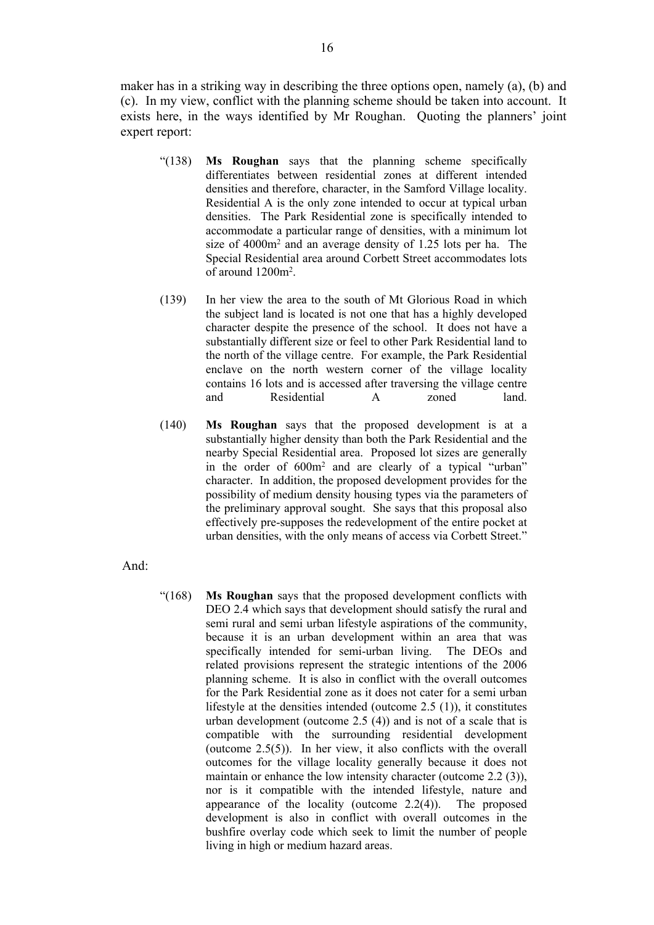maker has in a striking way in describing the three options open, namely (a), (b) and (c). In my view, conflict with the planning scheme should be taken into account. It exists here, in the ways identified by Mr Roughan. Quoting the planners' joint expert report:

- "(138) **Ms Roughan** says that the planning scheme specifically differentiates between residential zones at different intended densities and therefore, character, in the Samford Village locality. Residential A is the only zone intended to occur at typical urban densities. The Park Residential zone is specifically intended to accommodate a particular range of densities, with a minimum lot size of 4000m<sup>2</sup> and an average density of 1.25 lots per ha. The Special Residential area around Corbett Street accommodates lots of around 1200m<sup>2</sup> .
- (139) In her view the area to the south of Mt Glorious Road in which the subject land is located is not one that has a highly developed character despite the presence of the school. It does not have a substantially different size or feel to other Park Residential land to the north of the village centre. For example, the Park Residential enclave on the north western corner of the village locality contains 16 lots and is accessed after traversing the village centre and Residential A zoned land.
- (140) **Ms Roughan** says that the proposed development is at a substantially higher density than both the Park Residential and the nearby Special Residential area. Proposed lot sizes are generally in the order of 600m<sup>2</sup> and are clearly of a typical "urban" character. In addition, the proposed development provides for the possibility of medium density housing types via the parameters of the preliminary approval sought. She says that this proposal also effectively pre-supposes the redevelopment of the entire pocket at urban densities, with the only means of access via Corbett Street."
- And:
- "(168) **Ms Roughan** says that the proposed development conflicts with DEO 2.4 which says that development should satisfy the rural and semi rural and semi urban lifestyle aspirations of the community, because it is an urban development within an area that was specifically intended for semi-urban living. The DEOs and related provisions represent the strategic intentions of the 2006 planning scheme. It is also in conflict with the overall outcomes for the Park Residential zone as it does not cater for a semi urban lifestyle at the densities intended (outcome 2.5 (1)), it constitutes urban development (outcome 2.5 (4)) and is not of a scale that is compatible with the surrounding residential development (outcome 2.5(5)). In her view, it also conflicts with the overall outcomes for the village locality generally because it does not maintain or enhance the low intensity character (outcome 2.2 (3)), nor is it compatible with the intended lifestyle, nature and appearance of the locality (outcome 2.2(4)). The proposed development is also in conflict with overall outcomes in the bushfire overlay code which seek to limit the number of people living in high or medium hazard areas.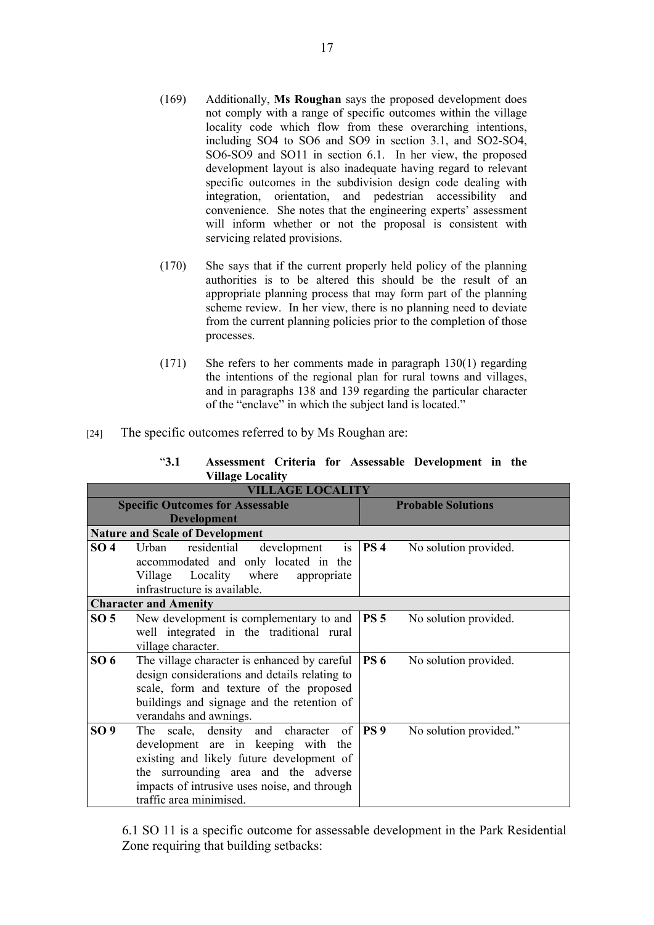- (169) Additionally, **Ms Roughan** says the proposed development does not comply with a range of specific outcomes within the village locality code which flow from these overarching intentions, including SO4 to SO6 and SO9 in section 3.1, and SO2-SO4, SO6-SO9 and SO11 in section 6.1. In her view, the proposed development layout is also inadequate having regard to relevant specific outcomes in the subdivision design code dealing with integration, orientation, and pedestrian accessibility and convenience. She notes that the engineering experts' assessment will inform whether or not the proposal is consistent with servicing related provisions.
- (170) She says that if the current properly held policy of the planning authorities is to be altered this should be the result of an appropriate planning process that may form part of the planning scheme review. In her view, there is no planning need to deviate from the current planning policies prior to the completion of those processes.
- (171) She refers to her comments made in paragraph 130(1) regarding the intentions of the regional plan for rural towns and villages, and in paragraphs 138 and 139 regarding the particular character of the "enclave" in which the subject land is located."
- [24] The specific outcomes referred to by Ms Roughan are:

| "3.1" |                         |  | Assessment Criteria for Assessable Development in the |  |
|-------|-------------------------|--|-------------------------------------------------------|--|
|       | <b>Village Locality</b> |  |                                                       |  |

| <b>VILLAGE LOCALITY</b>                 |                                               |                           |                        |  |
|-----------------------------------------|-----------------------------------------------|---------------------------|------------------------|--|
| <b>Specific Outcomes for Assessable</b> |                                               | <b>Probable Solutions</b> |                        |  |
| <b>Development</b>                      |                                               |                           |                        |  |
|                                         | <b>Nature and Scale of Development</b>        |                           |                        |  |
| SO <sub>4</sub>                         | Urban residential<br>development<br>is        | PS 4                      | No solution provided.  |  |
|                                         | accommodated and only located in the          |                           |                        |  |
|                                         | Locality where<br>Village<br>appropriate      |                           |                        |  |
|                                         | infrastructure is available.                  |                           |                        |  |
|                                         | <b>Character and Amenity</b>                  |                           |                        |  |
| SO <sub>5</sub>                         | New development is complementary to and       | PS <sub>5</sub>           | No solution provided.  |  |
|                                         | well integrated in the traditional rural      |                           |                        |  |
|                                         | village character.                            |                           |                        |  |
| SO <sub>6</sub>                         | The village character is enhanced by careful  | <b>PS 6</b>               | No solution provided.  |  |
|                                         | design considerations and details relating to |                           |                        |  |
|                                         | scale, form and texture of the proposed       |                           |                        |  |
|                                         | buildings and signage and the retention of    |                           |                        |  |
|                                         | verandahs and awnings.                        |                           |                        |  |
| SO 9                                    | The scale, density and character of           | <b>PS</b> 9               | No solution provided." |  |
|                                         | development are in keeping with the           |                           |                        |  |
|                                         | existing and likely future development of     |                           |                        |  |
|                                         | the surrounding area and the adverse          |                           |                        |  |
|                                         | impacts of intrusive uses noise, and through  |                           |                        |  |
|                                         | traffic area minimised.                       |                           |                        |  |

6.1 SO 11 is a specific outcome for assessable development in the Park Residential Zone requiring that building setbacks: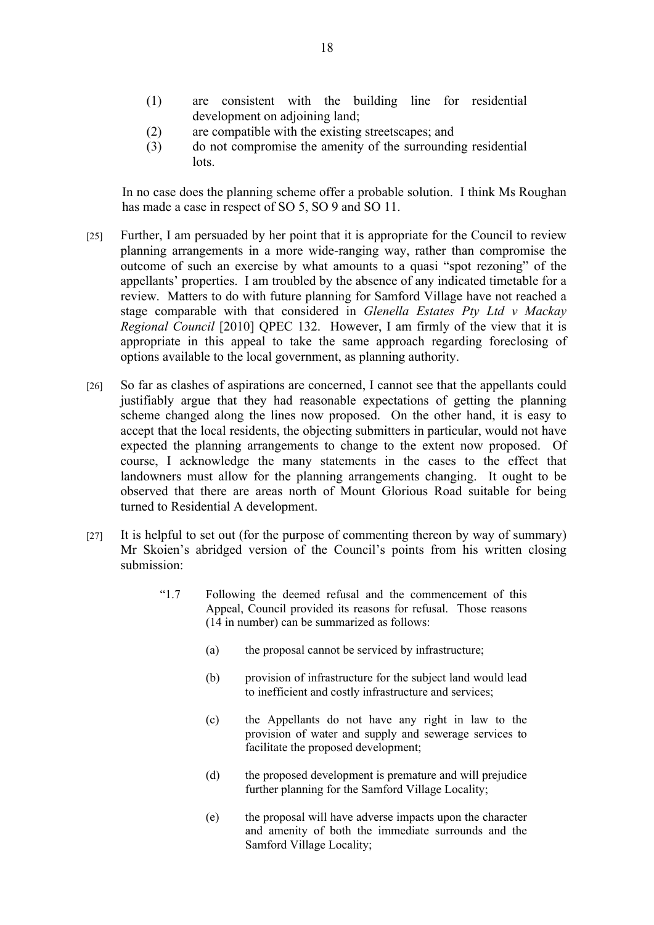- (1) are consistent with the building line for residential development on adjoining land;
- (2) are compatible with the existing streetscapes; and
- (3) do not compromise the amenity of the surrounding residential lots.

In no case does the planning scheme offer a probable solution. I think Ms Roughan has made a case in respect of SO 5, SO 9 and SO 11.

- [25] Further, I am persuaded by her point that it is appropriate for the Council to review planning arrangements in a more wide-ranging way, rather than compromise the outcome of such an exercise by what amounts to a quasi "spot rezoning" of the appellants' properties. I am troubled by the absence of any indicated timetable for a review. Matters to do with future planning for Samford Village have not reached a stage comparable with that considered in *Glenella Estates Pty Ltd v Mackay Regional Council* [2010] QPEC 132. However, I am firmly of the view that it is appropriate in this appeal to take the same approach regarding foreclosing of options available to the local government, as planning authority.
- [26] So far as clashes of aspirations are concerned, I cannot see that the appellants could justifiably argue that they had reasonable expectations of getting the planning scheme changed along the lines now proposed. On the other hand, it is easy to accept that the local residents, the objecting submitters in particular, would not have expected the planning arrangements to change to the extent now proposed. Of course, I acknowledge the many statements in the cases to the effect that landowners must allow for the planning arrangements changing. It ought to be observed that there are areas north of Mount Glorious Road suitable for being turned to Residential A development.
- [27] It is helpful to set out (for the purpose of commenting thereon by way of summary) Mr Skoien's abridged version of the Council's points from his written closing submission:
	- "1.7 Following the deemed refusal and the commencement of this Appeal, Council provided its reasons for refusal. Those reasons (14 in number) can be summarized as follows:
		- (a) the proposal cannot be serviced by infrastructure;
		- (b) provision of infrastructure for the subject land would lead to inefficient and costly infrastructure and services;
		- (c) the Appellants do not have any right in law to the provision of water and supply and sewerage services to facilitate the proposed development;
		- (d) the proposed development is premature and will prejudice further planning for the Samford Village Locality;
		- (e) the proposal will have adverse impacts upon the character and amenity of both the immediate surrounds and the Samford Village Locality;